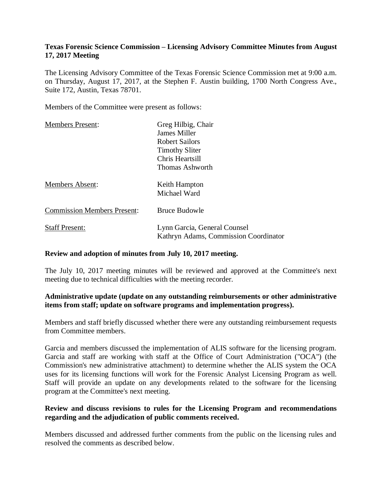# **Texas Forensic Science Commission – Licensing Advisory Committee Minutes from August 17, 2017 Meeting**

The Licensing Advisory Committee of the Texas Forensic Science Commission met at 9:00 a.m. on Thursday, August 17, 2017, at the Stephen F. Austin building, 1700 North Congress Ave., Suite 172, Austin, Texas 78701.

Members of the Committee were present as follows:

| <b>Members Present:</b>            | Greg Hilbig, Chair                                                    |
|------------------------------------|-----------------------------------------------------------------------|
|                                    | James Miller                                                          |
|                                    | <b>Robert Sailors</b>                                                 |
|                                    | <b>Timothy Sliter</b>                                                 |
|                                    | Chris Heartsill                                                       |
|                                    | Thomas Ashworth                                                       |
| <b>Members Absent:</b>             | Keith Hampton<br>Michael Ward                                         |
| <b>Commission Members Present:</b> | <b>Bruce Budowle</b>                                                  |
| <b>Staff Present:</b>              | Lynn Garcia, General Counsel<br>Kathryn Adams, Commission Coordinator |

#### **Review and adoption of minutes from July 10, 2017 meeting.**

The July 10, 2017 meeting minutes will be reviewed and approved at the Committee's next meeting due to technical difficulties with the meeting recorder*.*

# **Administrative update (update on any outstanding reimbursements or other administrative items from staff; update on software programs and implementation progress).**

Members and staff briefly discussed whether there were any outstanding reimbursement requests from Committee members.

Garcia and members discussed the implementation of ALIS software for the licensing program. Garcia and staff are working with staff at the Office of Court Administration ("OCA") (the Commission's new administrative attachment) to determine whether the ALIS system the OCA uses for its licensing functions will work for the Forensic Analyst Licensing Program as well. Staff will provide an update on any developments related to the software for the licensing program at the Committee's next meeting.

# **Review and discuss revisions to rules for the Licensing Program and recommendations regarding and the adjudication of public comments received.**

Members discussed and addressed further comments from the public on the licensing rules and resolved the comments as described below.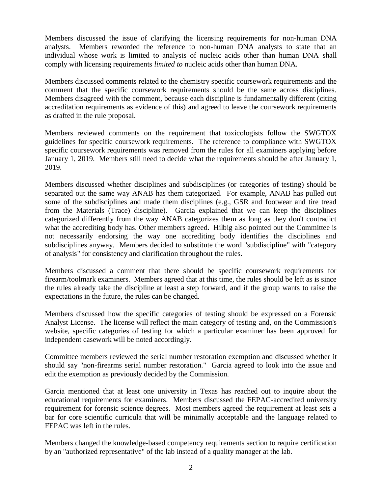Members discussed the issue of clarifying the licensing requirements for non-human DNA analysts. Members reworded the reference to non-human DNA analysts to state that an individual whose work is limited to analysis of nucleic acids other than human DNA shall comply with licensing requirements *limited to* nucleic acids other than human DNA.

Members discussed comments related to the chemistry specific coursework requirements and the comment that the specific coursework requirements should be the same across disciplines. Members disagreed with the comment, because each discipline is fundamentally different (citing accreditation requirements as evidence of this) and agreed to leave the coursework requirements as drafted in the rule proposal.

Members reviewed comments on the requirement that toxicologists follow the SWGTOX guidelines for specific coursework requirements. The reference to compliance with SWGTOX specific coursework requirements was removed from the rules for all examiners applying before January 1, 2019. Members still need to decide what the requirements should be after January 1, 2019.

Members discussed whether disciplines and subdisciplines (or categories of testing) should be separated out the same way ANAB has them categorized. For example, ANAB has pulled out some of the subdisciplines and made them disciplines (e.g., GSR and footwear and tire tread from the Materials (Trace) discipline). Garcia explained that we can keep the disciplines categorized differently from the way ANAB categorizes them as long as they don't contradict what the accrediting body has. Other members agreed. Hilbig also pointed out the Committee is not necessarily endorsing the way one accrediting body identifies the disciplines and subdisciplines anyway. Members decided to substitute the word "subdiscipline" with "category of analysis" for consistency and clarification throughout the rules.

Members discussed a comment that there should be specific coursework requirements for firearm/toolmark examiners. Members agreed that at this time, the rules should be left as is since the rules already take the discipline at least a step forward, and if the group wants to raise the expectations in the future, the rules can be changed.

Members discussed how the specific categories of testing should be expressed on a Forensic Analyst License. The license will reflect the main category of testing and, on the Commission's website, specific categories of testing for which a particular examiner has been approved for independent casework will be noted accordingly.

Committee members reviewed the serial number restoration exemption and discussed whether it should say "non-firearms serial number restoration." Garcia agreed to look into the issue and edit the exemption as previously decided by the Commission.

Garcia mentioned that at least one university in Texas has reached out to inquire about the educational requirements for examiners. Members discussed the FEPAC-accredited university requirement for forensic science degrees. Most members agreed the requirement at least sets a bar for core scientific curricula that will be minimally acceptable and the language related to FEPAC was left in the rules.

Members changed the knowledge-based competency requirements section to require certification by an "authorized representative" of the lab instead of a quality manager at the lab.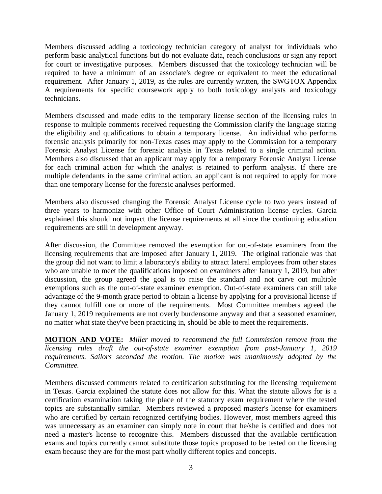Members discussed adding a toxicology technician category of analyst for individuals who perform basic analytical functions but do not evaluate data, reach conclusions or sign any report for court or investigative purposes. Members discussed that the toxicology technician will be required to have a minimum of an associate's degree or equivalent to meet the educational requirement. After January 1, 2019, as the rules are currently written, the SWGTOX Appendix A requirements for specific coursework apply to both toxicology analysts and toxicology technicians.

Members discussed and made edits to the temporary license section of the licensing rules in response to multiple comments received requesting the Commission clarify the language stating the eligibility and qualifications to obtain a temporary license. An individual who performs forensic analysis primarily for non-Texas cases may apply to the Commission for a temporary Forensic Analyst License for forensic analysis in Texas related to a single criminal action. Members also discussed that an applicant may apply for a temporary Forensic Analyst License for each criminal action for which the analyst is retained to perform analysis. If there are multiple defendants in the same criminal action, an applicant is not required to apply for more than one temporary license for the forensic analyses performed.

Members also discussed changing the Forensic Analyst License cycle to two years instead of three years to harmonize with other Office of Court Administration license cycles. Garcia explained this should not impact the license requirements at all since the continuing education requirements are still in development anyway.

After discussion, the Committee removed the exemption for out-of-state examiners from the licensing requirements that are imposed after January 1, 2019. The original rationale was that the group did not want to limit a laboratory's ability to attract lateral employees from other states who are unable to meet the qualifications imposed on examiners after January 1, 2019, but after discussion, the group agreed the goal is to raise the standard and not carve out multiple exemptions such as the out-of-state examiner exemption. Out-of-state examiners can still take advantage of the 9-month grace period to obtain a license by applying for a provisional license if they cannot fulfill one or more of the requirements. Most Committee members agreed the January 1, 2019 requirements are not overly burdensome anyway and that a seasoned examiner, no matter what state they've been practicing in, should be able to meet the requirements.

**MOTION AND VOTE:** *Miller moved to recommend the full Commission remove from the licensing rules draft the out-of-state examiner exemption from post-January 1, 2019 requirements. Sailors seconded the motion. The motion was unanimously adopted by the Committee.*

Members discussed comments related to certification substituting for the licensing requirement in Texas. Garcia explained the statute does not allow for this. What the statute allows for is a certification examination taking the place of the statutory exam requirement where the tested topics are substantially similar. Members reviewed a proposed master's license for examiners who are certified by certain recognized certifying bodies. However, most members agreed this was unnecessary as an examiner can simply note in court that he/she is certified and does not need a master's license to recognize this. Members discussed that the available certification exams and topics currently cannot substitute those topics proposed to be tested on the licensing exam because they are for the most part wholly different topics and concepts.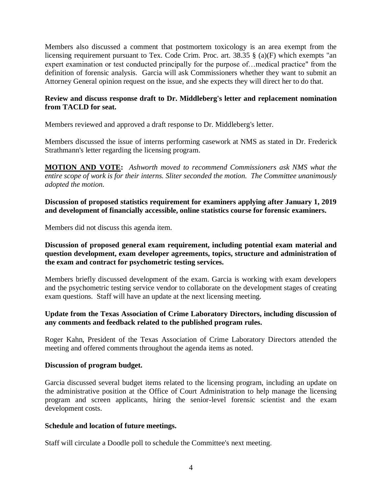Members also discussed a comment that postmortem toxicology is an area exempt from the licensing requirement pursuant to Tex. Code Crim. Proc. art. 38.35 § (a)(F) which exempts "an expert examination or test conducted principally for the purpose of…medical practice" from the definition of forensic analysis. Garcia will ask Commissioners whether they want to submit an Attorney General opinion request on the issue, and she expects they will direct her to do that.

# **Review and discuss response draft to Dr. Middleberg's letter and replacement nomination from TACLD for seat.**

Members reviewed and approved a draft response to Dr. Middleberg's letter.

Members discussed the issue of interns performing casework at NMS as stated in Dr. Frederick Strathmann's letter regarding the licensing program.

**MOTION AND VOTE:** *Ashworth moved to recommend Commissioners ask NMS what the entire scope of work is for their interns. Sliter seconded the motion. The Committee unanimously adopted the motion.*

## **Discussion of proposed statistics requirement for examiners applying after January 1, 2019 and development of financially accessible, online statistics course for forensic examiners.**

Members did not discuss this agenda item.

# **Discussion of proposed general exam requirement, including potential exam material and question development, exam developer agreements, topics, structure and administration of the exam and contract for psychometric testing services.**

Members briefly discussed development of the exam. Garcia is working with exam developers and the psychometric testing service vendor to collaborate on the development stages of creating exam questions. Staff will have an update at the next licensing meeting.

# **Update from the Texas Association of Crime Laboratory Directors, including discussion of any comments and feedback related to the published program rules.**

Roger Kahn, President of the Texas Association of Crime Laboratory Directors attended the meeting and offered comments throughout the agenda items as noted.

#### **Discussion of program budget.**

Garcia discussed several budget items related to the licensing program, including an update on the administrative position at the Office of Court Administration to help manage the licensing program and screen applicants, hiring the senior-level forensic scientist and the exam development costs.

#### **Schedule and location of future meetings.**

Staff will circulate a Doodle poll to schedule the Committee's next meeting.